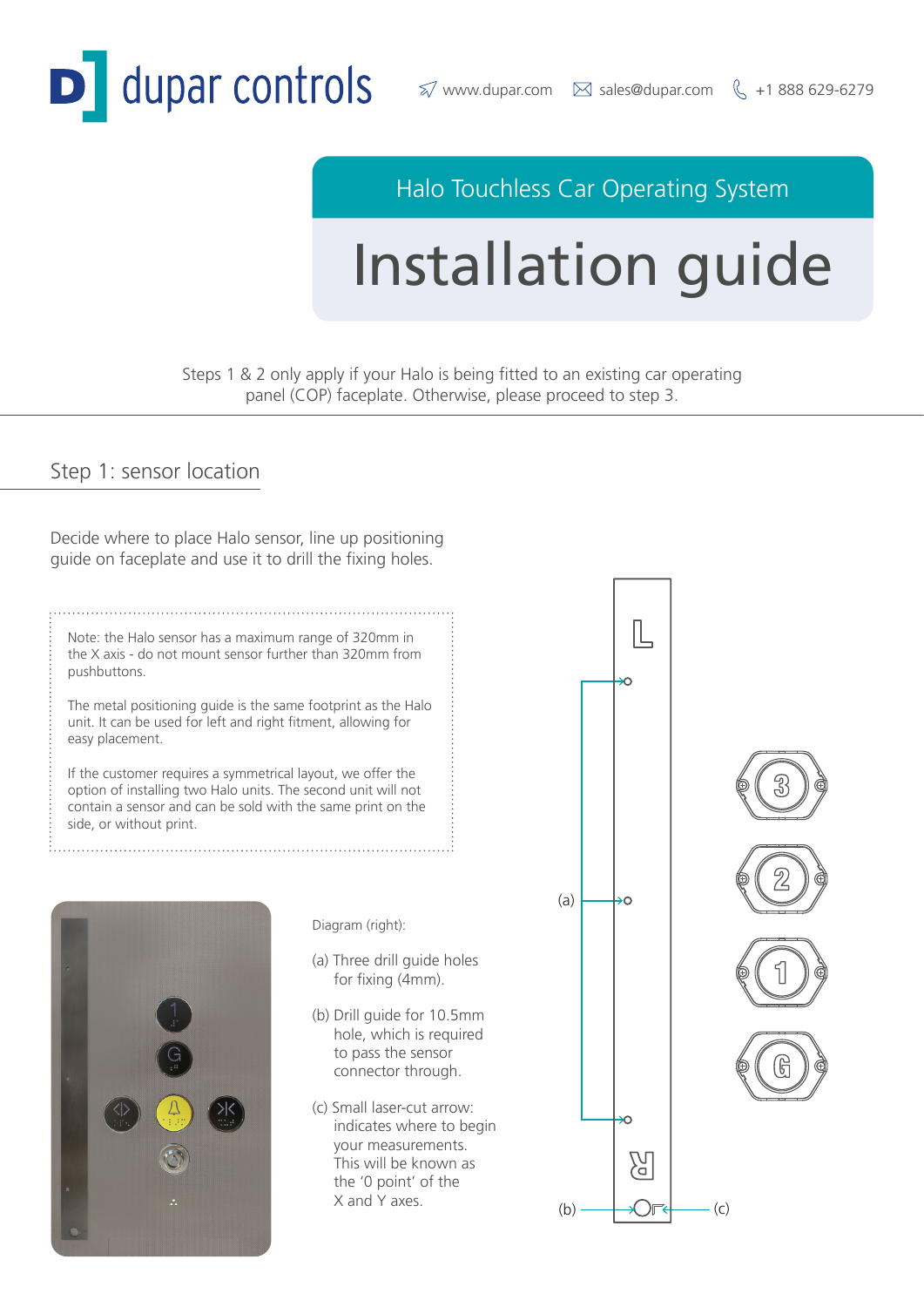

# Halo Touchless Car Operating System

# Installation guide

Steps 1 & 2 only apply if your Halo is being fitted to an existing car operating panel (COP) faceplate. Otherwise, please proceed to step 3.

#### Step 1: sensor location

Decide where to place Halo sensor, line up positioning guide on faceplate and use it to drill the fixing holes.

Note: the Halo sensor has a maximum range of 320mm in the X axis - do not mount sensor further than 320mm from pushbuttons.

The metal positioning guide is the same footprint as the Halo unit. It can be used for left and right fitment, allowing for easy placement.

If the customer requires a symmetrical layout, we offer the option of installing two Halo units. The second unit will not contain a sensor and can be sold with the same print on the side, or without print.



Diagram (right):

- (a) Three drill guide holes for fixing (4mm).
- (b) Drill guide for 10.5mm hole, which is required to pass the sensor connector through.
- (c) Small laser-cut arrow: indicates where to begin your measurements. This will be known as the '0 point' of the

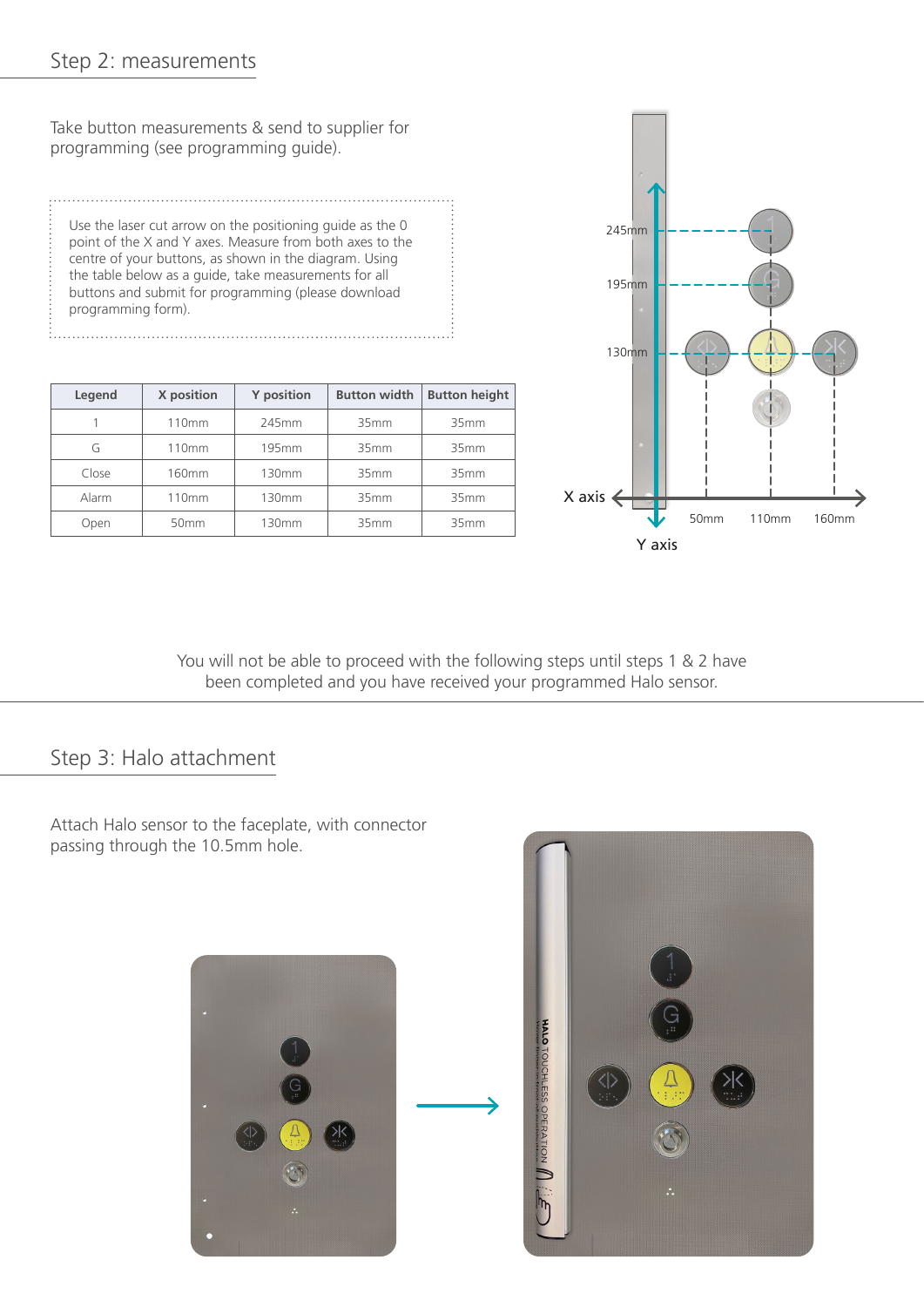## Step 2: measurements

Take button measurements & send to supplier for programming (see programming guide).

Use the laser cut arrow on the positioning guide as the 0 point of the X and Y axes. Measure from both axes to the centre of your buttons, as shown in the diagram. Using the table below as a guide, take measurements for all buttons and submit for programming (please download programming form).

| Legend | X position        | <b>Y</b> position | <b>Button width</b> | <b>Button height</b> |
|--------|-------------------|-------------------|---------------------|----------------------|
|        | 110 <sub>mm</sub> | 245mm             | 35mm                | 35mm                 |
| G      | 110 <sub>mm</sub> | 195mm             | 35mm                | 35mm                 |
| Close  | 160 <sub>mm</sub> | 130mm             | 35mm                | 35mm                 |
| Alarm  | 110 <sub>mm</sub> | 130mm             | 35mm                | 35mm                 |
| Open   | 50 <sub>mm</sub>  | 130mm             | 35 <sub>mm</sub>    | 35mm                 |



You will not be able to proceed with the following steps until steps 1 & 2 have been completed and you have received your programmed Halo sensor.

. . . . . . . . . .

## Step 3: Halo attachment

Attach Halo sensor to the faceplate, with connector passing through the 10.5mm hole.